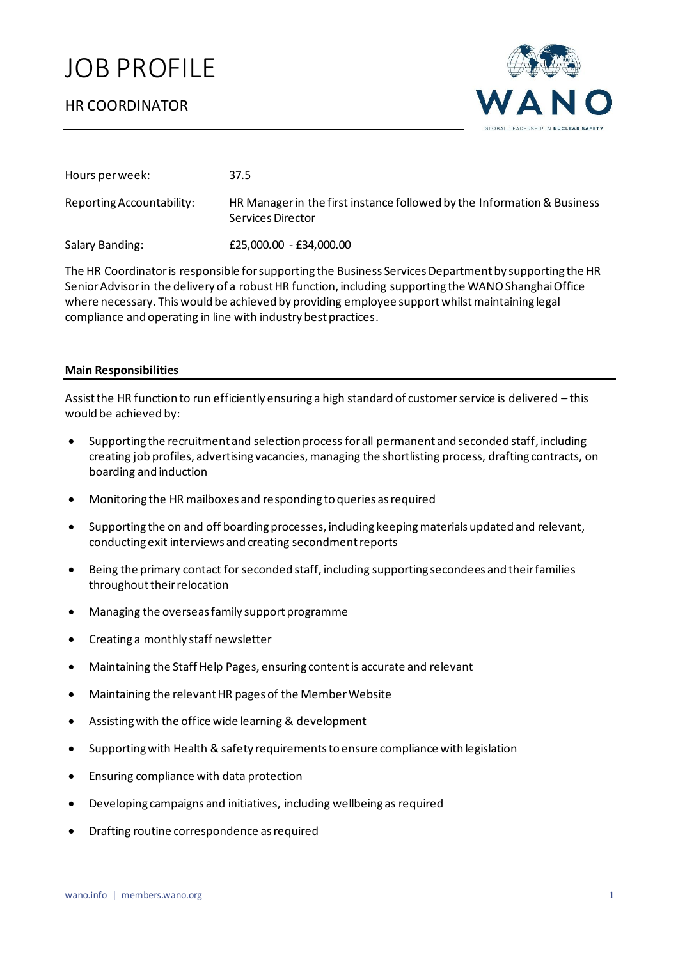# JOB PROFILE



| Hours per week:           | 37.5                                                                                         |
|---------------------------|----------------------------------------------------------------------------------------------|
| Reporting Accountability: | HR Manager in the first instance followed by the Information & Business<br>Services Director |
| Salary Banding:           | £25,000.00 - £34,000.00                                                                      |

The HR Coordinator is responsible for supporting the Business Services Department by supporting the HR Senior Advisor in the delivery of a robust HR function, including supporting the WANO Shanghai Office where necessary. This would be achieved by providing employee support whilst maintaining legal compliance and operating in line with industry best practices.

## **Main Responsibilities**

Assist the HR function to run efficiently ensuring a high standard of customer service is delivered – this would be achieved by:

- Supporting the recruitment and selection processfor all permanent and seconded staff, including creating job profiles, advertising vacancies, managing the shortlisting process, drafting contracts, on boarding and induction
- Monitoring the HR mailboxes and responding to queries as required
- Supporting the on and off boarding processes, including keepingmaterials updated and relevant, conducting exit interviews and creating secondment reports
- Being the primary contact for seconded staff, including supporting secondees and their families throughout their relocation
- Managing the overseas family support programme
- Creating a monthly staff newsletter
- Maintaining the Staff Help Pages, ensuring content is accurate and relevant
- Maintaining the relevant HR pages of the Member Website
- Assisting with the office wide learning & development
- Supporting with Health & safety requirements to ensure compliance with legislation
- Ensuring compliance with data protection
- Developing campaigns and initiatives, including wellbeing as required
- Drafting routine correspondence as required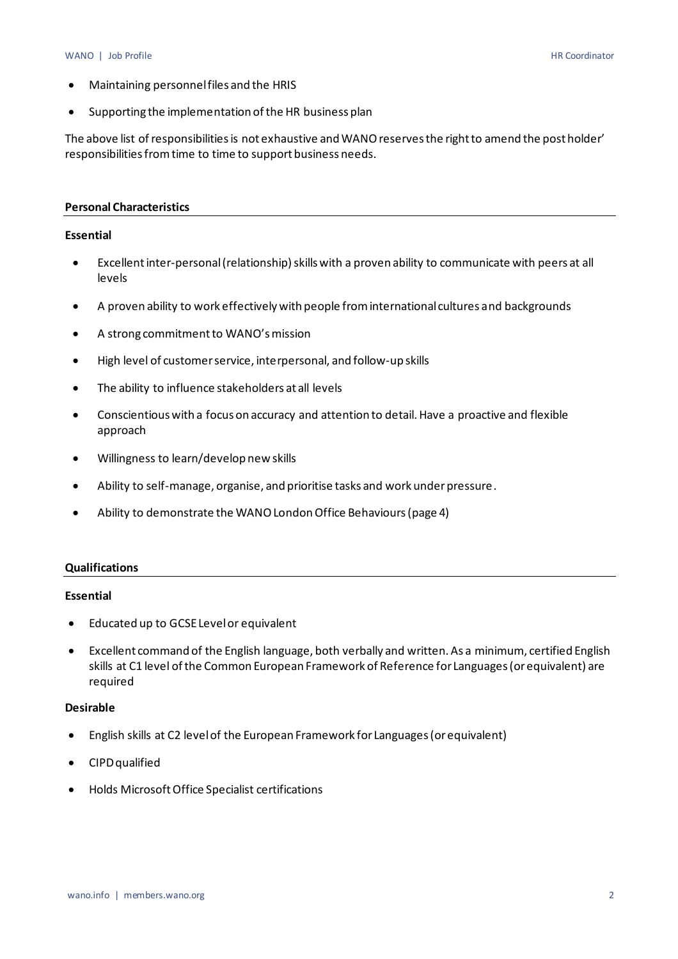#### WANO | Job Profile HR Coordinator

- Maintaining personnel files and the HRIS
- Supporting the implementation of the HR business plan

The above list of responsibilities is not exhaustive and WANO reserves the right to amend the post holder' responsibilities from time to time to support business needs.

#### **Personal Characteristics**

### **Essential**

- Excellent inter-personal (relationship) skills with a proven ability to communicate with peers at all levels
- A proven ability to work effectively with people from international cultures and backgrounds
- A strong commitment to WANO's mission
- High level of customer service, interpersonal, and follow-up skills
- The ability to influence stakeholders at all levels
- Conscientious with a focus on accuracy and attention to detail. Have a proactive and flexible approach
- Willingness to learn/develop new skills
- Ability to self-manage, organise, and prioritise tasks and work under pressure.
- Ability to demonstrate the WANO London Office Behaviours (page 4)

#### **Qualifications**

#### **Essential**

- Educated up to GCSE Level or equivalent
- Excellent command of the English language, both verbally and written. As a minimum, certified English skills at C1 level of the Common European Framework of Reference for Languages (or equivalent) are required

#### **Desirable**

- English skills at C2 level of the European Framework for Languages (or equivalent)
- CIPD qualified
- Holds Microsoft Office Specialist certifications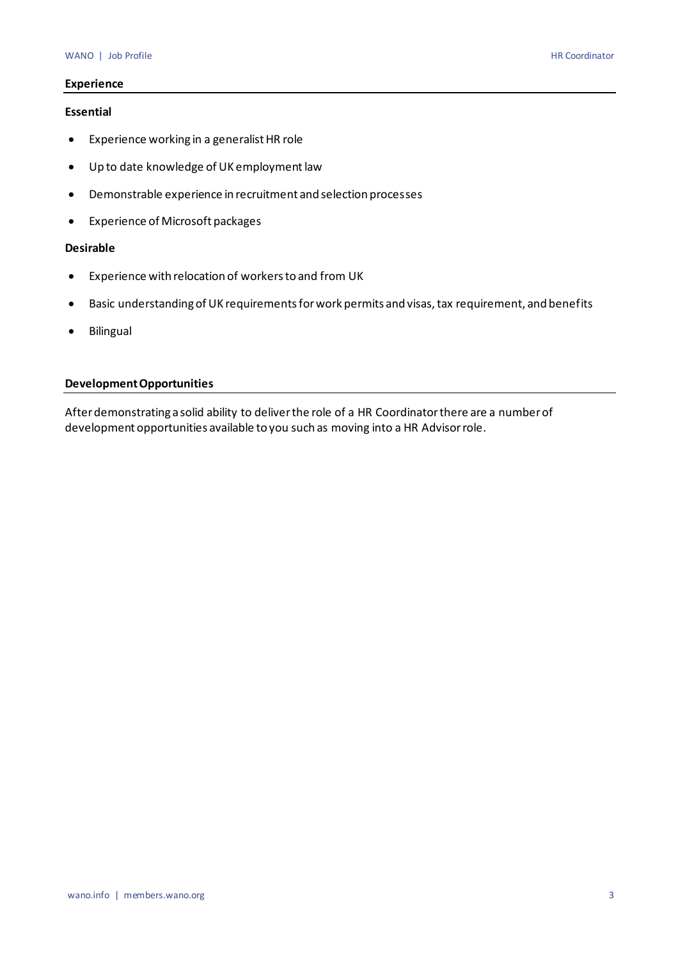## **Experience**

#### **Essential**

- Experience working in a generalist HR role
- Up to date knowledge of UK employment law
- Demonstrable experience in recruitment and selection processes
- Experience of Microsoft packages

## **Desirable**

- Experience with relocation of workers to and from UK
- Basic understanding of UK requirements for work permits and visas, tax requirement, and benefits
- Bilingual

## **Development Opportunities**

After demonstrating a solid ability to deliver the role of a HR Coordinator there are a number of development opportunities available to you such as moving into a HR Advisor role.